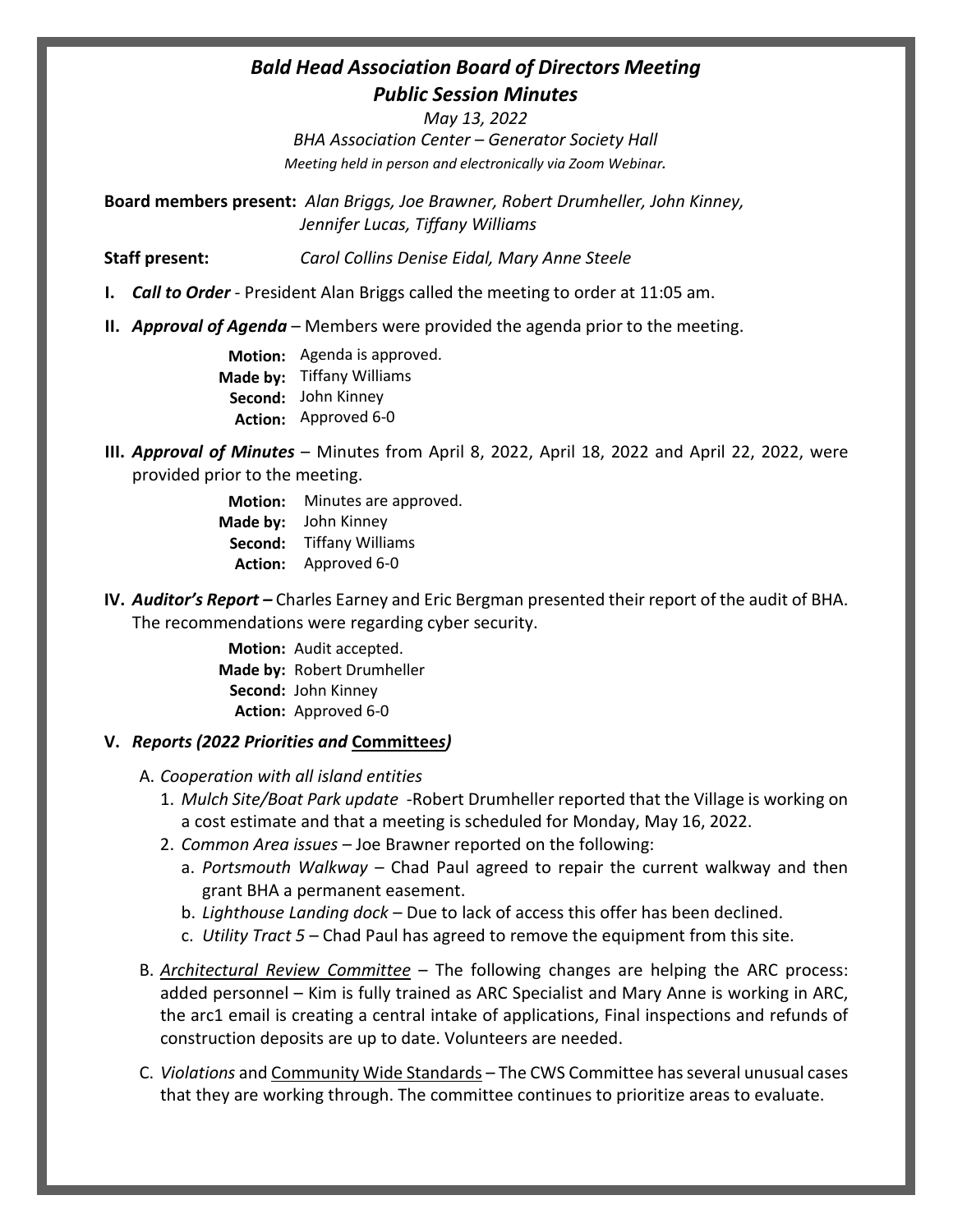## *Bald Head Association Board of Directors Meeting Public Session Minutes*

*May 13, 2022*

*BHA Association Center – Generator Society Hall Meeting held in person and electronically via Zoom Webinar.*

**Board members present:** *Alan Briggs, Joe Brawner, Robert Drumheller, John Kinney, Jennifer Lucas, Tiffany Williams*

**Staff present:** *Carol Collins Denise Eidal, Mary Anne Steele*

- **I.** *Call to Order* President Alan Briggs called the meeting to order at 11:05 am.
- **II.** *Approval of Agenda* Members were provided the agenda prior to the meeting.

**Motion:** Agenda is approved. **Made by:** Tiffany Williams **Second:**  John Kinney **Action:** Approved 6-0

**III.** *Approval of Minutes* – Minutes from April 8, 2022, April 18, 2022 and April 22, 2022, were provided prior to the meeting.

> **Motion:** Minutes are approved. **Made by:** John Kinney **Second:**  Tiffany Williams **Action:** Approved 6-0

**IV.** *Auditor's Report –* Charles Earney and Eric Bergman presented their report of the audit of BHA. The recommendations were regarding cyber security.

> **Motion:** Audit accepted. **Made by:** Robert Drumheller **Second:**  John Kinney **Action:** Approved 6-0

## **V.** *Reports (2022 Priorities and* **Committee***s)*

- A. *Cooperation with all island entities*
	- 1. *Mulch Site/Boat Park update* -Robert Drumheller reported that the Village is working on a cost estimate and that a meeting is scheduled for Monday, May 16, 2022.
	- 2. *Common Area issues* Joe Brawner reported on the following:
		- a. *Portsmouth Walkway* Chad Paul agreed to repair the current walkway and then grant BHA a permanent easement.
		- b. *Lighthouse Landing dock* Due to lack of access this offer has been declined.
		- c. *Utility Tract 5* Chad Paul has agreed to remove the equipment from this site.
- B. *Architectural Review Committee* The following changes are helping the ARC process: added personnel – Kim is fully trained as ARC Specialist and Mary Anne is working in ARC, the arc1 email is creating a central intake of applications, Final inspections and refunds of construction deposits are up to date. Volunteers are needed.
- C. *Violations* and Community Wide Standards The CWS Committee has several unusual cases that they are working through. The committee continues to prioritize areas to evaluate.